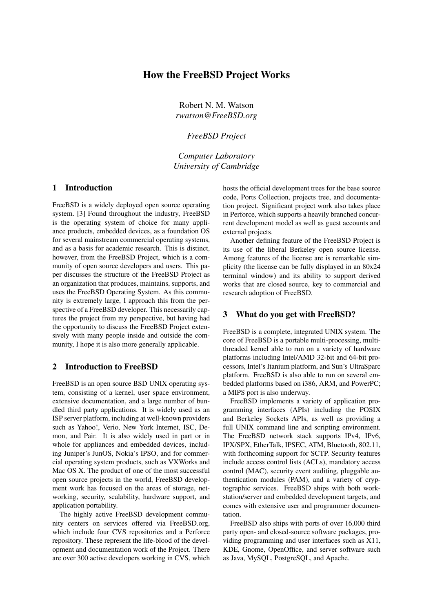# How the FreeBSD Project Works

Robert N. M. Watson *rwatson@FreeBSD.org*

*FreeBSD Project*

*Computer Laboratory University of Cambridge*

## 1 Introduction

FreeBSD is a widely deployed open source operating system. [3] Found throughout the industry, FreeBSD is the operating system of choice for many appliance products, embedded devices, as a foundation OS for several mainstream commercial operating systems, and as a basis for academic research. This is distinct, however, from the FreeBSD Project, which is a community of open source developers and users. This paper discusses the structure of the FreeBSD Project as an organization that produces, maintains, supports, and uses the FreeBSD Operating System. As this community is extremely large, I approach this from the perspective of a FreeBSD developer. This necessarily captures the project from my perspective, but having had the opportunity to discuss the FreeBSD Project extensively with many people inside and outside the community, I hope it is also more generally applicable.

### 2 Introduction to FreeBSD

FreeBSD is an open source BSD UNIX operating system, consisting of a kernel, user space environment, extensive documentation, and a large number of bundled third party applications. It is widely used as an ISP server platform, including at well-known providers such as Yahoo!, Verio, New York Internet, ISC, Demon, and Pair. It is also widely used in part or in whole for appliances and embedded devices, including Juniper's JunOS, Nokia's IPSO, and for commercial operating system products, such as VXWorks and Mac OS X. The product of one of the most successful open source projects in the world, FreeBSD development work has focused on the areas of storage, networking, security, scalability, hardware support, and application portability.

The highly active FreeBSD development community centers on services offered via FreeBSD.org, which include four CVS repositories and a Perforce repository. These represent the life-blood of the development and documentation work of the Project. There are over 300 active developers working in CVS, which

hosts the official development trees for the base source code, Ports Collection, projects tree, and documentation project. Significant project work also takes place in Perforce, which supports a heavily branched concurrent development model as well as guest accounts and external projects.

Another defining feature of the FreeBSD Project is its use of the liberal Berkeley open source license. Among features of the license are is remarkable simplicity (the license can be fully displayed in an 80x24 terminal window) and its ability to support derived works that are closed source, key to commercial and research adoption of FreeBSD.

#### 3 What do you get with FreeBSD?

FreeBSD is a complete, integrated UNIX system. The core of FreeBSD is a portable multi-processing, multithreaded kernel able to run on a variety of hardware platforms including Intel/AMD 32-bit and 64-bit processors, Intel's Itanium platform, and Sun's UltraSparc platform. FreeBSD is also able to run on several embedded platforms based on i386, ARM, and PowerPC; a MIPS port is also underway.

FreeBSD implements a variety of application programming interfaces (APIs) including the POSIX and Berkeley Sockets APIs, as well as providing a full UNIX command line and scripting environment. The FreeBSD network stack supports IPv4, IPv6, IPX/SPX, EtherTalk, IPSEC, ATM, Bluetooth, 802.11, with forthcoming support for SCTP. Security features include access control lists (ACLs), mandatory access control (MAC), security event auditing, pluggable authentication modules (PAM), and a variety of cryptographic services. FreeBSD ships with both workstation/server and embedded development targets, and comes with extensive user and programmer documentation.

FreeBSD also ships with ports of over 16,000 third party open- and closed-source software packages, providing programming and user interfaces such as X11, KDE, Gnome, OpenOffice, and server software such as Java, MySQL, PostgreSQL, and Apache.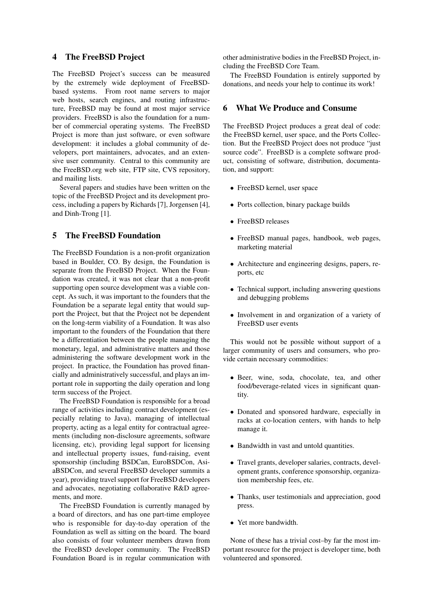### 4 The FreeBSD Project

The FreeBSD Project's success can be measured by the extremely wide deployment of FreeBSDbased systems. From root name servers to major web hosts, search engines, and routing infrastructure, FreeBSD may be found at most major service providers. FreeBSD is also the foundation for a number of commercial operating systems. The FreeBSD Project is more than just software, or even software development: it includes a global community of developers, port maintainers, advocates, and an extensive user community. Central to this community are the FreeBSD.org web site, FTP site, CVS repository, and mailing lists.

Several papers and studies have been written on the topic of the FreeBSD Project and its development process, including a papers by Richards [7], Jorgensen [4], and Dinh-Trong [1].

## 5 The FreeBSD Foundation

The FreeBSD Foundation is a non-profit organization based in Boulder, CO. By design, the Foundation is separate from the FreeBSD Project. When the Foundation was created, it was not clear that a non-profit supporting open source development was a viable concept. As such, it was important to the founders that the Foundation be a separate legal entity that would support the Project, but that the Project not be dependent on the long-term viability of a Foundation. It was also important to the founders of the Foundation that there be a differentiation between the people managing the monetary, legal, and administrative matters and those administering the software development work in the project. In practice, the Foundation has proved financially and administratively successful, and plays an important role in supporting the daily operation and long term success of the Project.

The FreeBSD Foundation is responsible for a broad range of activities including contract development (especially relating to Java), managing of intellectual property, acting as a legal entity for contractual agreements (including non-disclosure agreements, software licensing, etc), providing legal support for licensing and intellectual property issues, fund-raising, event sponsorship (including BSDCan, EuroBSDCon, AsiaBSDCon, and several FreeBSD developer summits a year), providing travel support for FreeBSD developers and advocates, negotiating collaborative R&D agreements, and more.

The FreeBSD Foundation is currently managed by a board of directors, and has one part-time employee who is responsible for day-to-day operation of the Foundation as well as sitting on the board. The board also consists of four volunteer members drawn from the FreeBSD developer community. The FreeBSD Foundation Board is in regular communication with

other administrative bodies in the FreeBSD Project, including the FreeBSD Core Team.

The FreeBSD Foundation is entirely supported by donations, and needs your help to continue its work!

## 6 What We Produce and Consume

The FreeBSD Project produces a great deal of code: the FreeBSD kernel, user space, and the Ports Collection. But the FreeBSD Project does not produce "just source code". FreeBSD is a complete software product, consisting of software, distribution, documentation, and support:

- FreeBSD kernel, user space
- Ports collection, binary package builds
- FreeBSD releases
- FreeBSD manual pages, handbook, web pages, marketing material
- Architecture and engineering designs, papers, reports, etc
- Technical support, including answering questions and debugging problems
- Involvement in and organization of a variety of FreeBSD user events

This would not be possible without support of a larger community of users and consumers, who provide certain necessary commodities:

- Beer, wine, soda, chocolate, tea, and other food/beverage-related vices in significant quantity.
- Donated and sponsored hardware, especially in racks at co-location centers, with hands to help manage it.
- Bandwidth in vast and untold quantities.
- Travel grants, developer salaries, contracts, development grants, conference sponsorship, organization membership fees, etc.
- Thanks, user testimonials and appreciation, good press.
- Yet more bandwidth.

None of these has a trivial cost–by far the most important resource for the project is developer time, both volunteered and sponsored.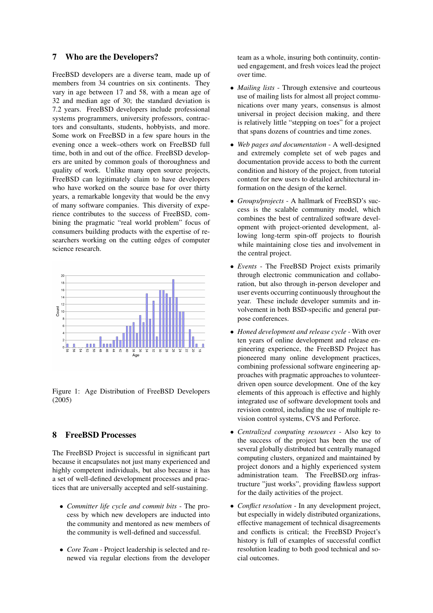### 7 Who are the Developers?

FreeBSD developers are a diverse team, made up of members from 34 countries on six continents. They vary in age between 17 and 58, with a mean age of 32 and median age of 30; the standard deviation is 7.2 years. FreeBSD developers include professional systems programmers, university professors, contractors and consultants, students, hobbyists, and more. Some work on FreeBSD in a few spare hours in the evening once a week–others work on FreeBSD full time, both in and out of the office. FreeBSD developers are united by common goals of thoroughness and quality of work. Unlike many open source projects, FreeBSD can legitimately claim to have developers who have worked on the source base for over thirty years, a remarkable longevity that would be the envy of many software companies. This diversity of experience contributes to the success of FreeBSD, combining the pragmatic "real world problem" focus of consumers building products with the expertise of researchers working on the cutting edges of computer science research.



Figure 1: Age Distribution of FreeBSD Developers (2005)

## 8 FreeBSD Processes

The FreeBSD Project is successful in significant part because it encapsulates not just many experienced and highly competent individuals, but also because it has a set of well-defined development processes and practices that are universally accepted and self-sustaining.

- *Committer life cycle and commit bits* The process by which new developers are inducted into the community and mentored as new members of the community is well-defined and successful.
- *Core Team* Project leadership is selected and renewed via regular elections from the developer

team as a whole, insuring both continuity, continued engagement, and fresh voices lead the project over time.

- *Mailing lists* Through extensive and courteous use of mailing lists for almost all project communications over many years, consensus is almost universal in project decision making, and there is relatively little "stepping on toes" for a project that spans dozens of countries and time zones.
- *Web pages and documentation* A well-designed and extremely complete set of web pages and documentation provide access to both the current condition and history of the project, from tutorial content for new users to detailed architectural information on the design of the kernel.
- *Groups/projects* A hallmark of FreeBSD's success is the scalable community model, which combines the best of centralized software development with project-oriented development, allowing long-term spin-off projects to flourish while maintaining close ties and involvement in the central project.
- *Events* The FreeBSD Project exists primarily through electronic communication and collaboration, but also through in-person developer and user events occurring continuously throughout the year. These include developer summits and involvement in both BSD-specific and general purpose conferences.
- *Honed development and release cycle* With over ten years of online development and release engineering experience, the FreeBSD Project has pioneered many online development practices, combining professional software engineering approaches with pragmatic approaches to volunteerdriven open source development. One of the key elements of this approach is effective and highly integrated use of software development tools and revision control, including the use of multiple revision control systems, CVS and Perforce.
- *Centralized computing resources* Also key to the success of the project has been the use of several globally distributed but centrally managed computing clusters, organized and maintained by project donors and a highly experienced system administration team. The FreeBSD.org infrastructure "just works", providing flawless support for the daily activities of the project.
- *Conflict resolution* In any development project, but especially in widely distributed organizations, effective management of technical disagreements and conflicts is critical; the FreeBSD Project's history is full of examples of successful conflict resolution leading to both good technical and social outcomes.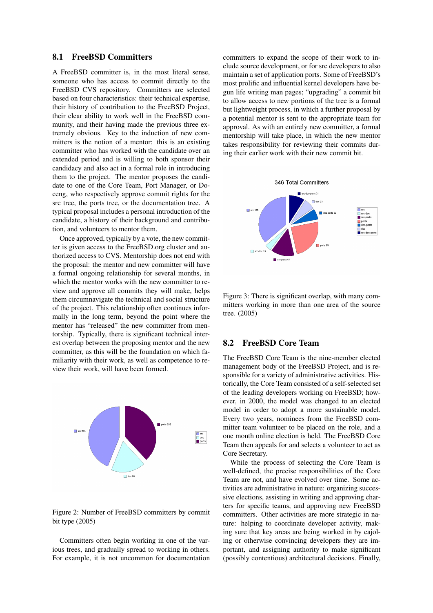## 8.1 FreeBSD Committers

A FreeBSD committer is, in the most literal sense, someone who has access to commit directly to the FreeBSD CVS repository. Committers are selected based on four characteristics: their technical expertise, their history of contribution to the FreeBSD Project, their clear ability to work well in the FreeBSD community, and their having made the previous three extremely obvious. Key to the induction of new committers is the notion of a mentor: this is an existing committer who has worked with the candidate over an extended period and is willing to both sponsor their candidacy and also act in a formal role in introducing them to the project. The mentor proposes the candidate to one of the Core Team, Port Manager, or Doceng, who respectively approve commit rights for the src tree, the ports tree, or the documentation tree. A typical proposal includes a personal introduction of the candidate, a history of their background and contribution, and volunteers to mentor them.

Once approved, typically by a vote, the new committer is given access to the FreeBSD.org cluster and authorized access to CVS. Mentorship does not end with the proposal: the mentor and new committer will have a formal ongoing relationship for several months, in which the mentor works with the new committer to review and approve all commits they will make, helps them circumnavigate the technical and social structure of the project. This relationship often continues informally in the long term, beyond the point where the mentor has "released" the new committer from mentorship. Typically, there is significant technical interest overlap between the proposing mentor and the new committer, as this will be the foundation on which familiarity with their work, as well as competence to review their work, will have been formed.



Figure 2: Number of FreeBSD committers by commit bit type (2005)

Committers often begin working in one of the various trees, and gradually spread to working in others. For example, it is not uncommon for documentation

committers to expand the scope of their work to include source development, or for src developers to also maintain a set of application ports. Some of FreeBSD's most prolific and influential kernel developers have begun life writing man pages; "upgrading" a commit bit to allow access to new portions of the tree is a formal but lightweight process, in which a further proposal by a potential mentor is sent to the appropriate team for approval. As with an entirely new committer, a formal mentorship will take place, in which the new mentor takes responsibility for reviewing their commits during their earlier work with their new commit bit.



Figure 3: There is significant overlap, with many committers working in more than one area of the source tree. (2005)

#### 8.2 FreeBSD Core Team

The FreeBSD Core Team is the nine-member elected management body of the FreeBSD Project, and is responsible for a variety of administrative activities. Historically, the Core Team consisted of a self-selected set of the leading developers working on FreeBSD; however, in 2000, the model was changed to an elected model in order to adopt a more sustainable model. Every two years, nominees from the FreeBSD committer team volunteer to be placed on the role, and a one month online election is held. The FreeBSD Core Team then appeals for and selects a volunteer to act as Core Secretary.

While the process of selecting the Core Team is well-defined, the precise responsibilities of the Core Team are not, and have evolved over time. Some activities are administrative in nature: organizing successive elections, assisting in writing and approving charters for specific teams, and approving new FreeBSD committers. Other activities are more strategic in nature: helping to coordinate developer activity, making sure that key areas are being worked in by cajoling or otherwise convincing developers they are important, and assigning authority to make significant (possibly contentious) architectural decisions. Finally,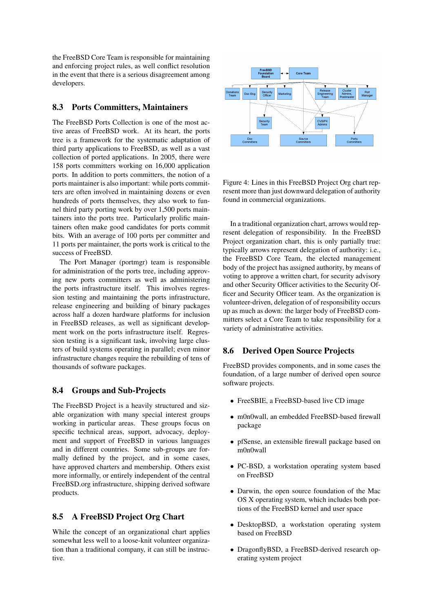the FreeBSD Core Team is responsible for maintaining and enforcing project rules, as well conflict resolution in the event that there is a serious disagreement among developers.

## 8.3 Ports Committers, Maintainers

The FreeBSD Ports Collection is one of the most active areas of FreeBSD work. At its heart, the ports tree is a framework for the systematic adaptation of third party applications to FreeBSD, as well as a vast collection of ported applications. In 2005, there were 158 ports committers working on 16,000 application ports. In addition to ports committers, the notion of a ports maintainer is also important: while ports committers are often involved in maintaining dozens or even hundreds of ports themselves, they also work to funnel third party porting work by over 1,500 ports maintainers into the ports tree. Particularly prolific maintainers often make good candidates for ports commit bits. With an average of 100 ports per committer and 11 ports per maintainer, the ports work is critical to the success of FreeBSD.

The Port Manager (portmgr) team is responsible for administration of the ports tree, including approving new ports committers as well as administering the ports infrastructure itself. This involves regression testing and maintaining the ports infrastructure, release engineering and building of binary packages across half a dozen hardware platforms for inclusion in FreeBSD releases, as well as significant development work on the ports infrastructure itself. Regression testing is a significant task, involving large clusters of build systems operating in parallel; even minor infrastructure changes require the rebuilding of tens of thousands of software packages.

### 8.4 Groups and Sub-Projects

The FreeBSD Project is a heavily structured and sizable organization with many special interest groups working in particular areas. These groups focus on specific technical areas, support, advocacy, deployment and support of FreeBSD in various languages and in different countries. Some sub-groups are formally defined by the project, and in some cases, have approved charters and membership. Others exist more informally, or entirely independent of the central FreeBSD.org infrastructure, shipping derived software products.

## 8.5 A FreeBSD Project Org Chart

While the concept of an organizational chart applies somewhat less well to a loose-knit volunteer organization than a traditional company, it can still be instructive.



Figure 4: Lines in this FreeBSD Project Org chart represent more than just downward delegation of authority found in commercial organizations.

In a traditional organization chart, arrows would represent delegation of responsibility. In the FreeBSD Project organization chart, this is only partially true: typically arrows represent delegation of authority: i.e., the FreeBSD Core Team, the elected management body of the project has assigned authority, by means of voting to approve a written chart, for security advisory and other Security Officer activities to the Security Officer and Security Officer team. As the organization is volunteer-driven, delegation of of responsibility occurs up as much as down: the larger body of FreeBSD committers select a Core Team to take responsibility for a variety of administrative activities.

### 8.6 Derived Open Source Projects

FreeBSD provides components, and in some cases the foundation, of a large number of derived open source software projects.

- FreeSBIE, a FreeBSD-based live CD image
- m0n0wall, an embedded FreeBSD-based firewall package
- pfSense, an extensible firewall package based on m0n0wall
- PC-BSD, a workstation operating system based on FreeBSD
- Darwin, the open source foundation of the Mac OS X operating system, which includes both portions of the FreeBSD kernel and user space
- DesktopBSD, a workstation operating system based on FreeBSD
- DragonflyBSD, a FreeBSD-derived research operating system project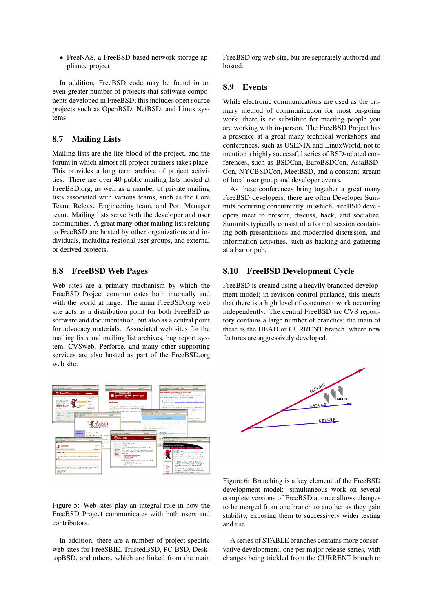• FreeNAS, a FreeBSD-based network storage appliance project

In addition, FreeBSD code may be found in an even greater number of projects that software components developed in FreeBSD; this includes open source projects such as OpenBSD, NetBSD, and Linux systems.

## 8.7 Mailing Lists

Mailing lists are the life-blood of the project, and the forum in which almost all project business takes place. This provides a long term archive of project activities. There are over 40 public mailing lists hosted at FreeBSD.org, as well as a number of private mailing lists associated with various teams, such as the Core Team, Release Engineering team, and Port Manager team. Mailing lists serve both the developer and user communities. A great many other mailing lists relating to FreeBSD are hosted by other organizations and individuals, including regional user groups, and external or derived projects.

#### 8.8 FreeBSD Web Pages

Web sites are a primary mechanism by which the FreeBSD Project communicates both internally and with the world at large. The main FreeBSD.org web site acts as a distribution point for both FreeBSD as software and documentation, but also as a central point for advocacy materials. Associated web sites for the mailing lists and mailing list archives, bug report system, CVSweb, Perforce, and many other supporting services are also hosted as part of the FreeBSD.org web site.



Figure 5: Web sites play an integral role in how the FreeBSD Project communicates with both users and contributors.

In addition, there are a number of project-specific web sites for FreeSBIE, TrustedBSD, PC-BSD, DesktopBSD, and others, which are linked from the main FreeBSD.org web site, but are separately authored and hosted.

## 8.9 Events

While electronic communications are used as the primary method of communication for most on-going work, there is no substitute for meeting people you are working with in-person. The FreeBSD Project has a presence at a great many technical workshops and conferences, such as USENIX and LinuxWorld, not to mention a highly successful series of BSD-related conferences, such as BSDCan, EuroBSDCon, AsiaBSD-Con, NYCBSDCon, MeetBSD, and a constant stream of local user group and developer events.

As these conferences bring together a great many FreeBSD developers, there are often Developer Summits occurring concurrently, in which FreeBSD developers meet to present, discuss, hack, and socialize. Summits typically consist of a formal session containing both presentations and moderated discussion, and information activities, such as hacking and gathering at a bar or pub.

#### 8.10 FreeBSD Development Cycle

FreeBSD is created using a heavily branched development model; in revision control parlance, this means that there is a high level of concurrent work occurring independently. The central FreeBSD src CVS repository contains a large number of branches; the main of these is the HEAD or CURRENT branch, where new features are aggressively developed.



Figure 6: Branching is a key element of the FreeBSD development model: simultaneous work on several complete versions of FreeBSD at once allows changes to be merged from one branch to another as they gain stability, exposing them to successively wider testing and use.

A series of STABLE branches contains more conservative development, one per major release series, with changes being trickled from the CURRENT branch to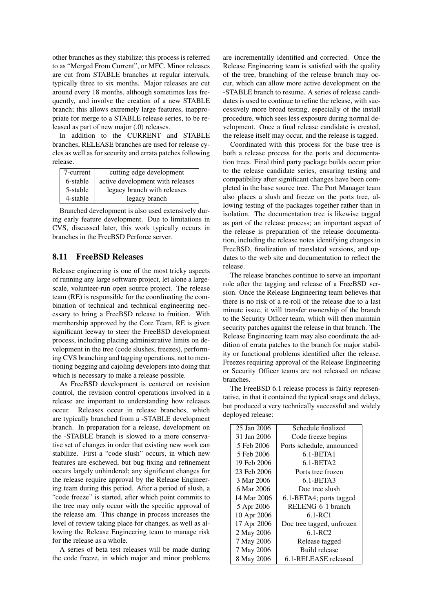other branches as they stabilize; this process is referred to as "Merged From Current", or MFC. Minor releases are cut from STABLE branches at regular intervals, typically three to six months. Major releases are cut around every 18 months, although sometimes less frequently, and involve the creation of a new STABLE branch; this allows extremely large features, inappropriate for merge to a STABLE release series, to be released as part of new major (.0) releases.

In addition to the CURRENT and STABLE branches, RELEASE branches are used for release cycles as well as for security and errata patches following release.

| 7-current | cutting edge development         |
|-----------|----------------------------------|
| 6-stable  | active development with releases |
| 5-stable  | legacy branch with releases      |
| 4-stable  | legacy branch                    |

Branched development is also used extensively during early feature development. Due to limitations in CVS, discussed later, this work typically occurs in branches in the FreeBSD Perforce server.

## 8.11 FreeBSD Releases

Release engineering is one of the most tricky aspects of running any large software project, let alone a largescale, volunteer-run open source project. The release team (RE) is responsible for the coordinating the combination of technical and technical engineering necessary to bring a FreeBSD release to fruition. With membership approved by the Core Team, RE is given significant leeway to steer the FreeBSD development process, including placing administrative limits on development in the tree (code slushes, freezes), performing CVS branching and tagging operations, not to mentioning begging and cajoling developers into doing that which is necessary to make a release possible.

As FreeBSD development is centered on revision control, the revision control operations involved in a release are important to understanding how releases occur. Releases occur in release branches, which are typically branched from a -STABLE development branch. In preparation for a release, development on the -STABLE branch is slowed to a more conservative set of changes in order that existing new work can stabilize. First a "code slush" occurs, in which new features are eschewed, but bug fixing and refinement occurs largely unhindered; any significant changes for the release require approval by the Release Engineering team during this period. After a period of slush, a "code freeze" is started, after which point commits to the tree may only occur with the specific approval of the release am. This change in process increases the level of review taking place for changes, as well as allowing the Release Engineering team to manage risk for the release as a whole.

A series of beta test releases will be made during the code freeze, in which major and minor problems

are incrementally identified and corrected. Once the Release Engineering team is satisfied with the quality of the tree, branching of the release branch may occur, which can allow more active development on the -STABLE branch to resume. A series of release candidates is used to continue to refine the release, with successively more broad testing, especially of the install procedure, which sees less exposure during normal development. Once a final release candidate is created, the release itself may occur, and the release is tagged.

Coordinated with this process for the base tree is both a release process for the ports and documentation trees. Final third party package builds occur prior to the release candidate series, ensuring testing and compatibility after significant changes have been completed in the base source tree. The Port Manager team also places a slush and freeze on the ports tree, allowing testing of the packages together rather than in isolation. The documentation tree is likewise tagged as part of the release process; an important aspect of the release is preparation of the release documentation, including the release notes identifying changes in FreeBSD, finalization of translated versions, and updates to the web site and documentation to reflect the release.

The release branches continue to serve an important role after the tagging and release of a FreeBSD version. Once the Release Engineering team believes that there is no risk of a re-roll of the release due to a last minute issue, it will transfer ownership of the branch to the Security Officer team, which will then maintain security patches against the release in that branch. The Release Engineering team may also coordinate the addition of errata patches to the branch for major stability or functional problems identified after the release. Freezes requiring approval of the Release Engineering or Security Officer teams are not released on release branches.

The FreeBSD 6.1 release process is fairly representative, in that it contained the typical snags and delays, but produced a very technically successful and widely deployed release:

| 25 Jan 2006 | Schedule finalized            |
|-------------|-------------------------------|
| 31 Jan 2006 | Code freeze begins            |
| 5 Feb 2006  | Ports schedule, announced     |
| 5 Feb 2006  | 6.1-BETA1                     |
| 19 Feb 2006 | $6.1-BETA2$                   |
| 23 Feb 2006 | Ports tree frozen             |
| 3 Mar 2006  | 6.1-BETA3                     |
| 6 Mar 2006  | Doc tree slush                |
| 14 Mar 2006 | 6.1-BETA4; ports tagged       |
| 5 Apr 2006  | RELENG <sub>-6-1</sub> branch |
| 10 Apr 2006 | $6.1 - RC1$                   |
| 17 Apr 2006 | Doc tree tagged, unfrozen     |
| 2 May 2006  | $6.1 - RC2$                   |
| 7 May 2006  | Release tagged                |
| 7 May 2006  | Build release                 |
| 8 May 2006  | 6.1-RELEASE released          |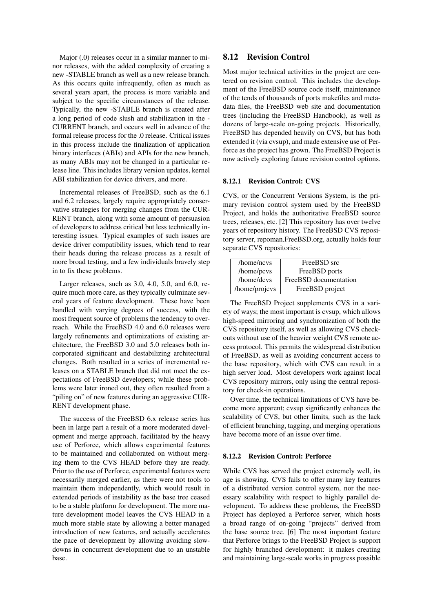Major (.0) releases occur in a similar manner to minor releases, with the added complexity of creating a new -STABLE branch as well as a new release branch. As this occurs quite infrequently, often as much as several years apart, the process is more variable and subject to the specific circumstances of the release. Typically, the new -STABLE branch is created after a long period of code slush and stabilization in the - CURRENT branch, and occurs well in advance of the formal release process for the .0 release. Critical issues in this process include the finalization of application binary interfaces (ABIs) and APIs for the new branch, as many ABIs may not be changed in a particular release line. This includes library version updates, kernel ABI stabilization for device drivers, and more.

Incremental releases of FreeBSD, such as the 6.1 and 6.2 releases, largely require appropriately conservative strategies for merging changes from the CUR-RENT branch, along with some amount of persuasion of developers to address critical but less technically interesting issues. Typical examples of such issues are device driver compatibility issues, which tend to rear their heads during the release process as a result of more broad testing, and a few individuals bravely step in to fix these problems.

Larger releases, such as 3.0, 4.0, 5.0, and 6.0, require much more care, as they typically culminate several years of feature development. These have been handled with varying degrees of success, with the most frequent source of problems the tendency to overreach. While the FreeBSD 4.0 and 6.0 releases were largely refinements and optimizations of existing architecture, the FreeBSD 3.0 and 5.0 releases both incorporated significant and destabilizing architectural changes. Both resulted in a series of incremental releases on a STABLE branch that did not meet the expectations of FreeBSD developers; while these problems were later ironed out, they often resulted from a "piling on" of new features during an aggressive CUR-RENT development phase.

The success of the FreeBSD 6.x release series has been in large part a result of a more moderated development and merge approach, facilitated by the heavy use of Perforce, which allows experimental features to be maintained and collaborated on without merging them to the CVS HEAD before they are ready. Prior to the use of Perforce, experimental features were necessarily merged earlier, as there were not tools to maintain them independently, which would result in extended periods of instability as the base tree ceased to be a stable platform for development. The more mature development model leaves the CVS HEAD in a much more stable state by allowing a better managed introduction of new features, and actually accelerates the pace of development by allowing avoiding slowdowns in concurrent development due to an unstable base.

## 8.12 Revision Control

Most major technical activities in the project are centered on revision control. This includes the development of the FreeBSD source code itself, maintenance of the tends of thousands of ports makefiles and metadata files, the FreeBSD web site and documentation trees (including the FreeBSD Handbook), as well as dozens of large-scale on-going projects. Historically, FreeBSD has depended heavily on CVS, but has both extended it (via cvsup), and made extensive use of Perforce as the project has grown. The FreeBSD Project is now actively exploring future revision control options.

#### 8.12.1 Revision Control: CVS

CVS, or the Concurrent Versions System, is the primary revision control system used by the FreeBSD Project, and holds the authoritative FreeBSD source trees, releases, etc. [2] This repository has over twelve years of repository history. The FreeBSD CVS repository server, repoman.FreeBSD.org, actually holds four separate CVS repositories:

| /home/ncvs    | FreeBSD src           |
|---------------|-----------------------|
| /home/pcvs    | FreeBSD ports         |
| /home/dcvs    | FreeBSD documentation |
| /home/projcvs | FreeBSD project       |

The FreeBSD Project supplements CVS in a variety of ways; the most important is cvsup, which allows high-speed mirroring and synchronization of both the CVS repository itself, as well as allowing CVS checkouts without use of the heavier weight CVS remote access protocol. This permits the widespread distribution of FreeBSD, as well as avoiding concurrent access to the base repository, which with CVS can result in a high server load. Most developers work against local CVS repository mirrors, only using the central repository for check-in operations.

Over time, the technical limitations of CVS have become more apparent; cvsup significantly enhances the scalability of CVS, but other limits, such as the lack of efficient branching, tagging, and merging operations have become more of an issue over time.

#### 8.12.2 Revision Control: Perforce

While CVS has served the project extremely well, its age is showing. CVS fails to offer many key features of a distributed version control system, nor the necessary scalability with respect to highly parallel development. To address these problems, the FreeBSD Project has deployed a Perforce server, which hosts a broad range of on-going "projects" derived from the base source tree. [6] The most important feature that Perforce brings to the FreeBSD Project is support for highly branched development: it makes creating and maintaining large-scale works in progress possible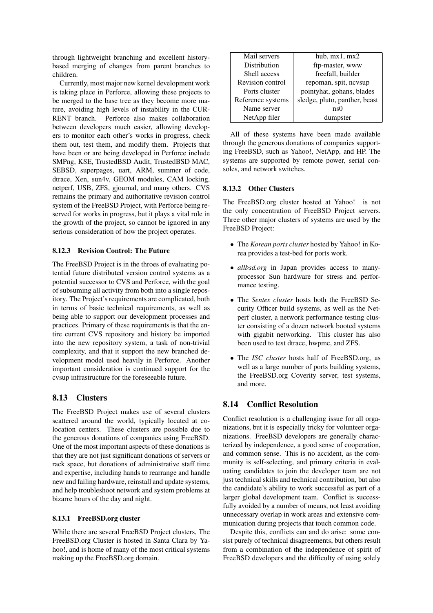through lightweight branching and excellent historybased merging of changes from parent branches to children.

Currently, most major new kernel development work is taking place in Perforce, allowing these projects to be merged to the base tree as they become more mature, avoiding high levels of instability in the CUR-RENT branch. Perforce also makes collaboration between developers much easier, allowing developers to monitor each other's works in progress, check them out, test them, and modify them. Projects that have been or are being developed in Perforce include SMPng, KSE, TrustedBSD Audit, TrustedBSD MAC, SEBSD, superpages, uart, ARM, summer of code, dtrace, Xen, sun4v, GEOM modules, CAM locking, netperf, USB, ZFS, gjournal, and many others. CVS remains the primary and authoritative revision control system of the FreeBSD Project, with Perforce being reserved for works in progress, but it plays a vital role in the growth of the project, so cannot be ignored in any serious consideration of how the project operates.

#### 8.12.3 Revision Control: The Future

The FreeBSD Project is in the throes of evaluating potential future distributed version control systems as a potential successor to CVS and Perforce, with the goal of subsuming all activity from both into a single repository. The Project's requirements are complicated, both in terms of basic technical requirements, as well as being able to support our development processes and practices. Primary of these requirements is that the entire current CVS repository and history be imported into the new repository system, a task of non-trivial complexity, and that it support the new branched development model used heavily in Perforce. Another important consideration is continued support for the cvsup infrastructure for the foreseeable future.

### 8.13 Clusters

The FreeBSD Project makes use of several clusters scattered around the world, typically located at colocation centers. These clusters are possible due to the generous donations of companies using FreeBSD. One of the most important aspects of these donations is that they are not just significant donations of servers or rack space, but donations of administrative staff time and expertise, including hands to rearrange and handle new and failing hardware, reinstall and update systems, and help troubleshoot network and system problems at bizarre hours of the day and night.

#### 8.13.1 FreeBSD.org cluster

While there are several FreeBSD Project clusters, The FreeBSD.org Cluster is hosted in Santa Clara by Yahoo!, and is home of many of the most critical systems making up the FreeBSD.org domain.

| Mail servers      | hub, $mx1, mx2$               |
|-------------------|-------------------------------|
| Distribution      | ftp-master, www               |
| Shell access      | freefall, builder             |
| Revision control  | repoman, spit, ncvsup         |
| Ports cluster     | pointyhat, gohans, blades     |
| Reference systems | sledge, pluto, panther, beast |
| Name server       | ns0                           |
| NetApp filer      | dumpster                      |

All of these systems have been made available through the generous donations of companies supporting FreeBSD, such as Yahoo!, NetApp, and HP. The systems are supported by remote power, serial consoles, and network switches.

### 8.13.2 Other Clusters

The FreeBSD.org cluster hosted at Yahoo! is not the only concentration of FreeBSD Project servers. Three other major clusters of systems are used by the FreeBSD Project:

- The *Korean ports cluster* hosted by Yahoo! in Korea provides a test-bed for ports work.
- *allbsd.org* in Japan provides access to manyprocessor Sun hardware for stress and performance testing.
- The *Sentex cluster* hosts both the FreeBSD Security Officer build systems, as well as the Netperf cluster, a network performance testing cluster consisting of a dozen network booted systems with gigabit networking. This cluster has also been used to test dtrace, hwpmc, and ZFS.
- The *ISC cluster* hosts half of FreeBSD.org, as well as a large number of ports building systems, the FreeBSD.org Coverity server, test systems, and more.

## 8.14 Conflict Resolution

Conflict resolution is a challenging issue for all organizations, but it is especially tricky for volunteer organizations. FreeBSD developers are generally characterized by independence, a good sense of cooperation, and common sense. This is no accident, as the community is self-selecting, and primary criteria in evaluating candidates to join the developer team are not just technical skills and technical contribution, but also the candidate's ability to work successful as part of a larger global development team. Conflict is successfully avoided by a number of means, not least avoiding unnecessary overlap in work areas and extensive communication during projects that touch common code.

Despite this, conflicts can and do arise: some consist purely of technical disagreements, but others result from a combination of the independence of spirit of FreeBSD developers and the difficulty of using solely